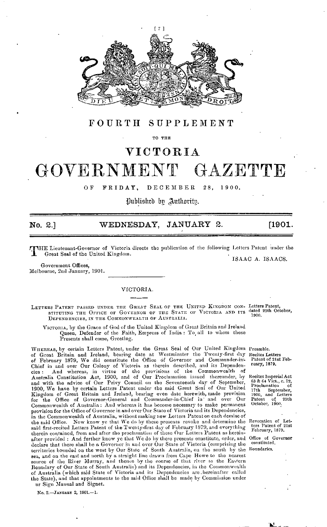

## FOURTH SUPPLEMENT

**TO THE**

# **VICTORIA**

# GOVERNMENT GAZETTE

OF FRIDAY, DECEMBER 28, 1900.

Published by Authority.

### **No. 2.] WEDNESDAY, JANUARY 2. [1901.**

THE Lieutenant-Governor of Victoria directs the publication of the following Letters Patent under the<br> **External Seal of the United Kingdom.** Great Seal of the United Kingdom.

Government Offices, Melbourne, 2nd January, 1901. ISAAC A. ISAACS.

VICTORIA.

**LETTIHI5 PATENT PASSED UNDER THE GREAT SEAL OF THE UNITED KINGDOM CON-** Letters Patent, **STITUTING THE OFFiCE OF GOVItISNOIL OF TIlE** *STATE* **OF VICTORIA AND ITS** dated 29th October, **DEPENDENCIES, IN THE COMMONWEALTH OF AUSTRALIA.** 

**VICTORIA,** by the Grace of God of the United Kingdom of Great Britain and Ireland Queen, Defender of the Faith, Empress of India : To, all to whom these Presents shall come, Greeting.

WIIEREAS, by certain Letters Patent, under tbe Great Seal of Our United Kingdom Preamble. of Great Britain and Ireland, bearing date at Westminster the Twenty-first day Recites Letters of February 1879, We did constitute the Office of Governor and Commander-in- Patent of 21st Feb-Chief in and over Our Colony of Victoria as therein described, and its Dependen- 10ary, 1819. eies And whereas, in virtue of the provisions of the Commonwealth of Australia Constitution Act, 1900, and of Our Proclamation issued thereunder, by Recites IniperialAct and with the advice of Our Privy Council on the Seventeenth day of September, **<sup>63</sup> & <sup>64</sup>** Vict., **c.12,** 1900, We have by certain Letters Patent under the said Great Seal of Our United Proclamation of Kingdom of Great Britain and Ireland, bearing even date herewith, made provision 1900, and Letters for the Office of Governor-General and Commander-in-Chief in and over Our Patent of 29th 1900, We have by certain Letters Patent under the said Great Scal of Our United 17th September,<br>Kingdom of Great Britain and Ireland, bearing even date herewith, made provision 1900, and Letters<br>for the Office of Governorprovision for the Office of Governor in and over Our State of Victoria and its Dependencies, in the Commonwealth of Australia, without making new Letters Patent on each demise of the said Office. Now know ye that We do by these presents revoke and determine the Revocation of Let-<br>and funt regional Letters Patent of the Twenty-first day of February 1879 and everything ters Patent of 21st said first-recited Letters Patent of the Twenty-first day of February 1879, and everything ters Patent of 2<br>February, 1879, therein contained, from and after the proclamation of these Our Letters Patent as herein<sup>2</sup> February, 1879.<br>after provided: And further know ye that We do by these presents constitute, order, and Office of Governor after provided **:** And further know ye that We do by these presents constitute, order, and Office of Governor in and our Our State of Victoria (commission the constituted declare that there shall be a Governor in and over Our State of Victoria (comprising the territories bounded on the west by Our State of South Australia, on the south by the Boundaries. sea, and on the east and north by a straight line drawn from Cape Howe to the nearest source of the River Murray, and thence by the course of that river to the Eastern Boundary of Our State of South Australia) and its Dependencies, in the Commonwealth **of** Australia (which said State of Victoria and its Dependencies are, hereinafter called the State), and that appointments to the said Office shall be made by Commission under ur Sign Manual and Signet. -

No. **2.—JANUARY 2, 1901.—i.**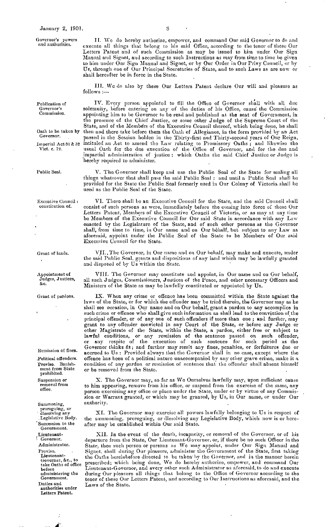Governor's powers II. We do hereby authorize, empower, and command Our said Governor to do and authorities. execute all things that belong to his said Office according to the tenor of these Our and authorities, execute all tlnngs that belong to his said Office, according to the tenor of these Our Letters Patent and of such Commission as may be issued to him under Our Sign Manual and Signet, and according to such Instructions as may from time to time be given to him under Oar Sign Manual and Signet, or by Our Order in Our Privy Council, or by Us, through one of Our Principal Secretaries of State, and to such Laws as are now or shall hereafter be in force in the State.

> **ITT.** We do also by these Our Letters Patent declare Our will and pleasure as follows :—

Publication of **IV.** Every person appointed to fill the Office of Governor shall with all due<br>Governor's solemnity, before entering on any of the duties of his Office, cause the Commission Governor's solemnity, before entering on any of the duties of his Office, cause the Commission<br>Commission. **annointing** him to be Governor to be read and published at the ceat of Government in **Commission.** appointing him to be Governor to be read and published at the seat of Government, in the presence of the Chief Justice, or some other Judge of the Supreme Court of the State, and of the Members of the Executive Council thereof, which being done, he shall Oath to be taken by then and there take before them the Oath of Allegiance, in the form provided by an Act Governor. Governor. . passed in the Session holden in the Thirty-first and Thirty-second years of Our Reign Imperial Act31&32 intituled an Act to amend the Law relating to Promissory Oaths; and likewise the Imperial Act 31 & 32 intituled an Act to amend the Law relating to Promissory Oaths; and likewise the Viet. c. 72. usual Oath for the due execution of the Office of Governor, and for the due and impartial administration of justice: which Oaths the said Chief Justice or Judge is hereby req **ii ret1 to** administer.

Public Seal. V. The Governor shall keep and use the Public Seal of the State for sealing all things whatsover that shall pass the said Public Seal : and until a Public Seal shall be provided for die Slate the Public Seal formerly used in Our Colony of Victoria shall be used as the Public Seal of the State.

Executive Council : VI. There shall be an Executive Council for the State, and the said Council shall<br>constitution of consist of such persons as were immediately before the coming into force of these Our consist of such persons as were, immediately before the coming into force of these Our Letters Patent, Members of the Executive Council of Victoria, or as may at any time be Members of the Executive Council for Our said State in accordance with any Law enacted by the Legislature of the State, and of such other persons as the Governor shall, from time to time, in Our name and on Our behalf, but subject to any Law as aforesaid, appoint under the Public Seal of the State to be Members of Our said Executive Council for the State.

Grant of lands. VII., The Governor, in Our name and on Our behalf, may make and execute, under the said Public Seal, grants and dispositions of any land which may be lawfully granted and disposed of by Us within the State.

Appointment of VIII. The Governor may constitute and appoint, in Our name and on Our behalf,<br>Judges Justices, all such Judges Commissioners, Justices of the Peace and other peesseny Officers and Appointment of VIII. The Governor may constitute and appoint, in Our name and on Our behalf, Judges, Justices, all such Judges, Commissioners, Justices of the Peace, and other necessary Officers and Ministers of the State as may be lawfully constituted or appointed by Us.

Grant of pardons. **IX.** When any crime or offence has been committed within the State against the laws of the State, or for which the offender may be tried therein, the Governor may as he shall see occasion, in Our name and on Our behalf, grant a pardon to any accomplice in such crime or offence who shall give such information as shall lead to the conviction of the principal offender, or of any one of such offenders if more than one; and further, may grant to any offender convicted in any Court of the State, or before any Judge or other Magistrate of the State, withia the State, a pardon, either free or subject to lawful conditions, or any remission of the sentence passed on such offender, or any respite of the execution of such soutence for such period as the Governor thinks fit; and further may remit any fines, penalties, or forfeitures duo or Remission of fines. accrued to Us : Provided always that the Governor shall in no case, except where the Political offenders. offence has been of a political nature unaccompanied by any other grave crime, make it a Political offenders, offence has been of a political nature unaccompanied by any other grave crime, make **it** a Proviso. Banish- condition of any pardon or remission of sentence that the offender shall absent himself ment from State or be removed from the State.

Suspension or **X.** The Governor may, so far as We Ourselves lawfully may, upon sufficient cause<br>removal from the exercise of the same, any **removal from** to him appearing, remove from his office, or suspend from the exercise of the same, any office. person exercising any office or place under the State, under or by virtue of any Commission or Warrant granted, or which may be granted, by Us, in Our name, or under Our authority.

dissolving any XI. The Governor may exercise all powers lawfully belonging to Us in respect of Legislative Body. the summoning, proroguing, or dissolving any Legislative Body, which now is or here-Legislative Body. the summoning, proroguing, or dissolving any Legislative Body, which now is or here— 'Succession **to** the after may be established within Our said State.

Lieutenant-<br> **XII.** In the event of the death, incapacity, or removal of the Governor, or of his<br>
Governor. **departure from the State, Our Lieutenant-Governor, or, if there be no such Officer in the** Governor. **departure** from the State, Our Lieutenant-Governor, or, if there be no such Officer in the Administrator. State, then such person or persons as We may appoint, under Our Sign Manual and State, then such person or persons as We may appoint, under Our Sign Manual and Proviso. Signet, shall during Our pleasure, administer the Government of the State, first taking<br>Lieutenant-<br>the Oaths hereinhefore directed to be taken by the Governor, and in the manner herein Lieutenant-<br>Governor, &c., to<br>take Oaths of office prescribed; which being done, We do hereby authorize, empower, and command Our prescribed; which being done, We do hereby authorize, empower, and command Our before Lieutenant-Governor, and every other such Administrator as aforesaid, to do and execute administering the during Our pleasure all things that belong to the Office of Governor according to the administering the during Our pleasure all things that belong to the Office of Governor according to the Government.<br>Government. The Covernment of these Our Letters Patent, and according to Our Instructions as aforesaid, an Laws of the State.

prohibited.

Summoning,

proroguing, or<br>dissolving any

Government.<br>: Lieutenant-

**authorIties under Letters Patent.**

ý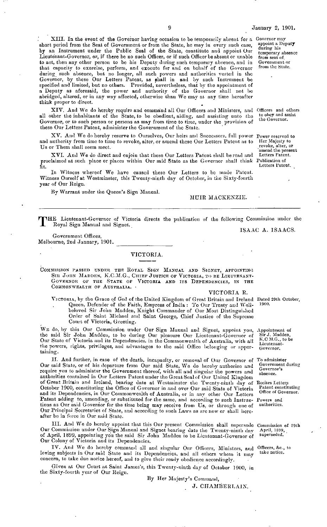XIII. In the event of the Governor having occasion to be temporarily absent for a Governor may<br>t period from the Seat of Government or from the State, he may in every such case, appoint a Deputy<br>and Deputy<br>and Deputy of t short period from the Seat of Government or from the State, he may in every such case, by an Instrument under the Public Seal of the State, constitute and appoint Our during his Lieutenant-Governor, or, if there be no such Officer, or if such Officer be absent or unable from seat of<br>to act, then any other person to be his Deputy during such temporary absence, and in Government or to act, then any other person to be his Deputy during such temporary absence, and in Government or<br>that capacity to exercise, perform, and execute for and on behalf of the Governor, from the State. that capacity to exercise, perform, and execute for and on behalf of the Governor during such absence, but no longer, all such powers and authorities vested in the Governor, by these Our Letters Patent, as shall in and by such Instrument be specified and limited, but no others. Provided, nevertheless, that by the appointment of a Deputy as aforesaid, the power and authority of the Governor shall not be abridged, altered, or in any way affected, otherwise than We may at any time hereafter think proper to direct.

XIV. And We do hereby require and command all Our Officers and Ministers, and Officers and others<br>ther the inhabitants of the State to be obedient aiding, and assisting unto the to obey and assist all other the inhabitants of the State, to be obedient, aiding, and assisting unto the to obey and as<br>General or to such person or persons of mer from time to time under the provision of the Governor. Governor, or to such person or persons as may from time to time, under the provision of these Our Letters Patent. administer the Government of the State.

XV. And We do hereby reserve to Ourselves, Our heirs and Successors, full power Power reserved to<br>authority from time to time to revoke, alter, or amend these Our Letters Patent as to Her Majesty to and authority from time to time to revoke, alter, or amend these Our Letters Patent as to Her Majesty to<br>Us or Them shall seem meet.<br>amend the present Us or Them shall seem meet.<br>
XVI. And We do direct and enjoin that these Our Letters Patent shall be read and Letters Patent.

XVI. And We do direct and enjoin that these Our Letters Patent shall be read and Letters Patent is patent in the statent shall the statent shall think Publication of proclaimed at such place or places within Our said State as the Governor shall think Publication of fit.<br>fit. fit. Letters Patent.

In Witness whereof We have caused these Our Letters to be made Patent. Witness Ourself at Westminster, this Twenty-ninth day of October, in the Sixty-fourth year of Our Reign.

By Warrant under the Queen's Sign Manual.

MUIR MACKENZIE.

VICTORIA R.

THE Lieutenant-Governor of Victoria directs the publication of the following Commission under the Royal Sign Manual and Signet. Royal Sign Manual and Signet. ISAAC A. ISAACS.

Government Offices, Melbourne, 2nd January, 1901.

VICTORIA.

**COMMISSION PASSED UNDER THE ROYAL SIGN MANUAL A~D SIGNET, APPOINTING** SIR JOHN MADDEN, K.C.M.G., CHIEF JUSTICE OF VICTORIA, TO BE LIEUTENANT-GOVERNOR OF THE STATE OF VICTORIA AND ITS DEPENDENCIES, IN THE **COMMONWEALTH OF AUSTRALIA.** -

**VICTOELA,** by the Grace of God of the**United** Kingdom of Great Britain and Ireland Dated 29th Octeber, Queen, Defender of the Faith, Empress of India : To Our Trusty and Wellbeloved Sir John Madden, Knight Commander of Our Most Distinguished Order of Saint Michael and Saint George, Chief Justice of the Supreme Court of Victoria, Greeting.

WE do, by this Our Commission under Our Sign Manual and Signet, appoint you, Appointment of<br>the said Sir John Madden, to be during Our pleasure Our Lieutenant-Governor of Sir J. Madden,<br>Our State of Victoria and its Depend the said Sir John Madden, to be during Our pleasure Our Lieutenant-Governor of SirJ. Madden, Our State of Victoria and its Dependencies, in the Commonwealth of Australia, with all  $\frac{N.C M.G., t}{N.C M.G., t}$ the powers, rights, privileges, aad advantages **to the said** Office belonging or ipper- Governor. taining.

II. And further, **in case of the death,** incapacity, **or removal** of **Our Governor of To administer** Our said State, or of his departure from Our said State, We do hereby authorize and **Government** during **require you to administer the Government thereof, with** all and singular the powers and ~ authorities **contained in** Our **Letters Patent under the Great** Seal **of** Our United Kingdom of **Great Britain and Ireland, bearing date at \Vestmuinstcr the 'L'wenty-ninth** day of Recites Letter,s October 1900, constituting the **Office of Governor in and over Our said State of Victoria Patent constituting and its Dependencies, in Our Commonwealth of Australia, or** in **any other Our Letters Office ol Governor. Patent adding to, amenditig, or substituted for the same, and according to such Instruc- Powers and tions as Our said Govermior for the time being may receive from Us, or through one of authorities.** Our Principal Secretaries of State, and according to such Laws as are now or shall hereafter be in force in Our said State.

III. And We do hereby appoint that this Our present Commission shall supersede Commission of **20th** Our Commission under Our Sign Manual and Signet bearing date the Twenty-ninth day April, 1899,<br>of April, 1899, appointing you the said Sir, John Medden to be Lieuteport Correspond Superseded. of April, 1899, appointing you the said Sir John Madden to be Lieutenant-Governor of Our Colony of Victoria and its Dependencies.

IV. And We do hereby command all and singular Our Officers, Ministers, and Officers, &c., to loving subjects in Our said State and its Dependencies, and all others whom it may concern, to take due notice hereof, and to give their ready obedience accordingly.

Given at Onr Court at Saint James's, this Twenty-ninth day of October 1900, in the Sixty-fourth year of Our Reign.

> By Her Majesty's Command, J. CHAMBERLAIN.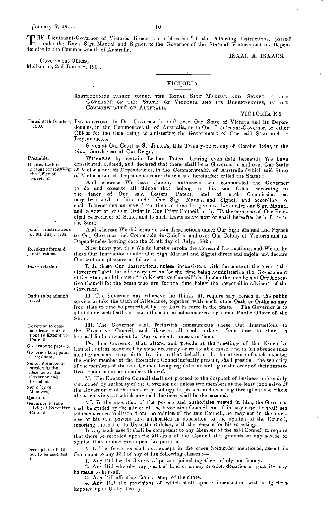TTHE Lieutenant-Governor of Victoria directs the publication of the following Instructions, passed under the Royal Sign Manual and Signet, to the Governor of the State of Victoria and its Dependencies in the Commonwealth of Australia.

ISAAC A. ISAACS.

Government Offices, Melbourne, 2nd January, 1901.

#### VICTORIA.

INSTRUCTIONS PASSED UNDER THE ROYAL SIGN MANUAL AND SIGNET TO THE. GOVERNOR OF THE STATE OF VICTORIA AND ITS DEPENDENCIES, IN THE COMMONWEALTH OF AUSTRALIA.

#### VICTORIA R.I.

1900.

Dated 29th October, INSTRUCTIONS to Our Governor in and over Our State of Victoria and its Dependencies, in the Commonwealth of Australia, or to Our Lieutenant-Governor, or other Officer for the time being administering the Government of Our said State and its Dependencies.

> Given at Our Court at St. James's, this Twenty-ninth day of October 1900, in the Sixty-fourth year of Our Reign.

WHEREAS by certain Letters Patent bearing even date herewith, We have constituted, ordered, and declared that there shall be a Governor in and over Our State of Victoria and its Dependencies, in the Commonwealth of Australia (which said State of Victoria and its Dependencies are therein and hereinafter called the State) :

And whereas We have thereby authorized and commanded the Governor to do and execute all things that belong to his said Office, according to the tenor of Our said Letters Patent, and of such Commission as may be issued to him under Our Sign Manual and Signet, and according to such Instructions as may from time to time be given to him under our Sign Manual and Signet or by Our Order in Our Privy Council, or by Us through one of Our Principal Secretaries of State, and to such Laws as are now or shall hereafter be in force in the State:

And whereas We did issue certain Instructions under Our Sign Manual and Signet to Our Governor and Commander-in-Chief in and over Our Colony of Victoria and its Dependencies bearing date the Ninth day of July, 1892 :

Now know you that We do hereby revoke the aforesaid Instructions, and We do by these Our Instructions under Our Sign Manual and Signet direct and enjoin and declare Our will and pleasure as follows :-

I. In these Our Instructions, unless inconsistent with the context, the term "the Governor" shall include every person for the time being administering the Government<br>of the State, and the term " the Executive Council" shall mean the members of Our Executive Council for the State who are for the time being the responsible advisers of the Governor.

II. The Governor may, whenever he thinks fit, require any person in the public-<br>service to take the Oath of Allegiance, together with such other Oath or Oaths as may from time to time be prescribed by any Law in force in the State. The Governor is to administer such Oaths or cause them to be administered by some Public Officer of the State.

III. The Governor shall forthwith communicate these Our Instructions to the Executive Council, and likewise all such others, from time to time, as he shall find convenient for Our service to impart to them.

IV. The Governor shall attend and preside at the meetings of the Executive Council, unless prevented by some necessary or reasonable cause, and in his absence such<br>member as may be appointed by him in that behalf, or in the absence of such member the senior member of the Executive Council actually present, shall preside; the seniority of the members of the said Council being regulated according to the order of their respective appointments as members thereof.

V. The Executive Council shall not proceed to the despatch of business unless duly summoned by authority of the Governor nor unless two members at the least (exclusive of the Governor or of the member presiding) be present and assisting throughout the whole of the meetings at which any such business shall be despatched.

VI. In the execution of the powers and authorities vested in him, the Governor shall be guided by the advice of the Executive Council, but if in any case he shall see sufficient cause to dissent from the opinion of the said Council, he may act in the exercise of his said powers and authorities in opposition to the opinion of the Council,<br>reporting the matter to Us without delay, with the reasons for his so acting.

In any such case it shall be competent to any Member of the said Council to requirethat there be recorded upon the Minutes of the Council the grounds of any advice or opinion that he may give upon the question.

VII. The Governor shall not, except in the cases hereunder mentioned, assent in Our name to any Bill of any of the following classes :-

1. Any Bill for the divorce of persons joined together in holy matrimony.

2. Any Bill whereby any grant of land or money or other donation or gratuity may be made to himself.

3. Any Bill affecting the currency of the State.

4. Any Bill the provisions of which shall appear inconsistent with obligations. imposed upon Us by Treaty.

Preamble. **Recites Letters** Patent constituting the Office of Governor,

Recites instructions of 9th July, 1892.

Revokes aforesaid : Instructions.

Interpretation.

Oaths to be adminis tered.

Governor to communicate Instructions to Executive Council. Governor to preside.

Governor to appoint a President.

Senior Member to preside in the absence of the Governor and President.

Seniority of Members.

Quorum.

Governor to take

advice of Executive Conneil.

Description of Bills not to be assented to.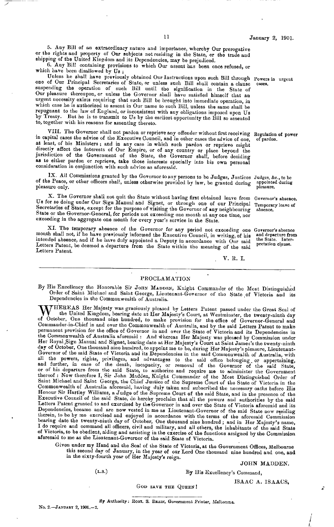5. Any Bill of an extraordinary nature and importance, whereby Our prerogative or the rights and property of Our subjects notresiding in the State, or the trade and shipping of the United Kingdom and its Dependencies, may be prejudiced.

6. Any Bill containing provisions to which Our assent has been once refused, or which have been disallowed by Us;

Unless he shall have previously obtained Our Instructions upon such Bill through Powers in urgent one of Our Principal Secretaries of State, or unless such Bill shall contain a clause cases. suspending the operation of such Bill until the signification in the State of Our pleasure thereupon, or unless the Governor shall have satisfied himsclf that an urgent necessity exists rcquiriug that such Bill he brought into immediate operation, in which case he is authorized to assent in Our name to such Bill, unless the same shall be repugnant to the law of England, or inconsistent with any obligations imposed upon Us by Treaty. But he is to transmit to Us by the earliest opportunity the Bill so asseuted to, together with his reasons for assenting thereto.

VIII. The Governor shall not pardon or reprieve any offender without first receiving Regulation of power in capital cases the advice of the Executive Council, and in other cases the advice of one, of pardon. at least, of his Ministers ; and in any case in which such pardon or reprieve might directly affect the interests of Our Empire, or of any country or place beyond the jurisdiction of the Government of the State, the Governor shall, before deciding as to either pardon or reprieve, take those interests specially into his own personal consideration in conjunction with such advice as aforesaid.

IX. All Commissions granted by the Governor to any persons to be Judges, Justices Judges, &c., to be of the Peace, or other officers shall, unless otherwise provided by law, be granted during appointed during pleasure only. The contract of the pleasure. The pleasure. The pleasure.

X. The Governor shall not quit the State withont having first ohtained leave from Governor's absence. Us for so doing under Our Sign Manual and Signet, or through one of our Principal Temporary leave of Secretaries of State, except for the purpose of visiting the Governor of any neighbouring absence. State or the Governor-General, for periods not exceeding one month at anyone time, nor exceeding in the aggregate one month for every year's service in the State.

XI. The temporary absence of the Governor for any period not exceeding one Governor's absence month shall not, if he have previously informed the Executive Council, in writing, one coverage our month shall not, if he have previously informed the Executive Council, in writing, of his and departure from intended absence, and if he have duly appointed a Deputy in accordance with Our said Letters Patent, be deemed a departure from the State within the meaning of the said Letters Patent.

V. R. I.

#### PROCLAMATION

By His Excellency the Honorable Sir Jonn MADDEN, Knight Commander of the Most Distinguished Order of Saint Michael and Saint George, Lieutenant-Governor of the State of Victoria and its Dependencies in the Commonwealth of Australia.

THEREAS Her Majesty was graciously pleased by Letters Patent passed under the Great Seal of the United Kingdom, bearing date at Her Majesty's Court, at Westminster, the twenty-ninth day of October, One thousand nine hundred, to make provision for the office of Governor-General and Commander-in-Chief in and over the Commonwealth of Australia, snd by the said Letters Patent to make permanent provision for the office of Governor in and over the State of Victoria and its Dependencies in the Commonwealth of Anstralia aforesaid And Whereas Her Majesty was pleased by Commission under Her Royal ,Sign Mnnnal and Signet, bearing date at Her Majesty's Court at Saint James's the twenty-ninth day of October, One thousand nine hundred, to appoint me to be, during Her Majesty's pleasure, Lieutenant-Governor of the said State of Victoria and its Dependencies in the said Commonwealth of Australia, with all the powers, rights, privileges, and advantages to the said office belonging or appertaining, and further, in case of the death, incapacity, or removal of the Governor of the said State or of his departure from the said State, to authorize and require me to administer the Government thereof *Now* therefore I, Sir John Madden, Knight Commander of the Most Distinguished Order of Saint Michael and Saint George, the Chief Justice of the Supreme dourt of the State of Victoria in the Commonwealth of Australia aforesaid, having duly taken and subscribed the necessary oaths before His Honour Sir Hartley Williams, a Judge of the Supreme Court of the said State, and in the presence of the Executive Council of the said State, do hereby proclaim that all the powers and authorities by the said Letters Patent granted to and exercised by the Governor in and over the State of Victoria aforesaid and its Dependencies, became and are now vested in me as Lieutenant-Governor of the said State now residing therein, to be by me excrcised and enjoyed in accordance with the terms of the aforesaid Commission bearing date the twenty-ninth day of October, One thousand nine hundred ; and in Her Majesty's name,<br>I do require and command all officers, civil and military, and all others, the inhabitants of the said State of Victoria, to be obedient, aiding and assisting in the exercise of the functions assigned by the Commission aforesaid to me as the Lieutenant-Governor of the said State of Victoria.

Given under my Hand and the Seal of the State of Victoria, at the Government Offices, Melbenrne this second day of January, in the year of our Lord One thousand nine hundred and one, and in the sixty-fourth year of Her Majesty's reign.

JOHN MADDEN.

**(L.s.)** By His Excellency's Command,

GOD **SAVE THE QUEEN!**

ISAAC A. ISAACS,

pretation clause.

By Authority: ROBT. S. BRAIN, Government Printer, Melbourne.

No. **2.—JANUARY** 2, 1901.—2.